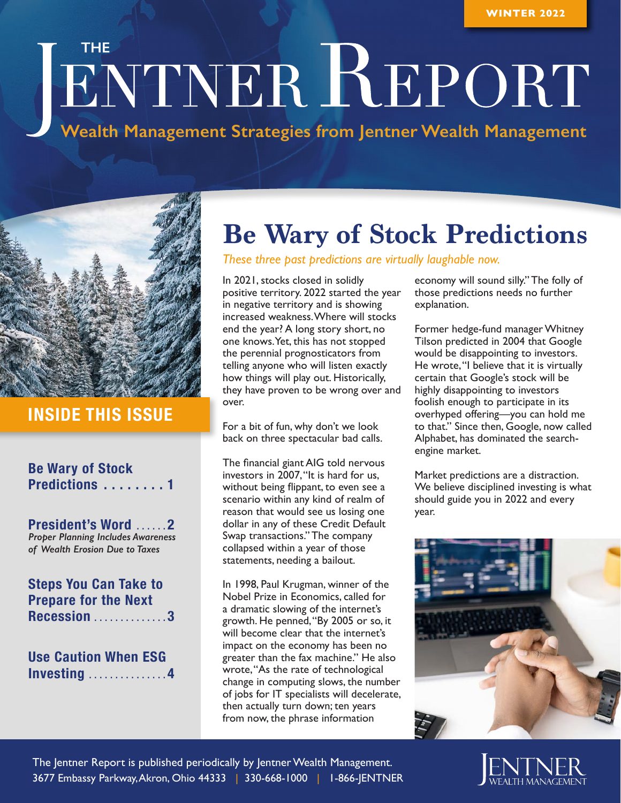# **THE TERRETORT**

**Wealth Management Strategies from Jentner Wealth Management**



## **INSIDE THIS ISSUE**

#### **Be Wary of Stock Predictions . . . . . . . . 1**

**President's Word . . . . . 2** *Proper Planning Includes Awareness of Wealth Erosion Due to Taxes* 

#### **Steps You Can Take to Prepare for the Next Recession . . . . . . . . . . . . . 3**

**Use Caution When ESG Investing . . . . . . . . . . . . . . 4**

# **Be Wary of Stock Predictions**

*These three past predictions are virtually laughable now.*

In 2021, stocks closed in solidly positive territory. 2022 started the year in negative territory and is showing increased weakness. Where will stocks end the year? A long story short, no one knows. Yet, this has not stopped the perennial prognosticators from telling anyone who will listen exactly how things will play out. Historically, they have proven to be wrong over and over.

For a bit of fun, why don't we look back on three spectacular bad calls.

The financial giant AIG told nervous investors in 2007, "It is hard for us, without being flippant, to even see a scenario within any kind of realm of reason that would see us losing one dollar in any of these Credit Default Swap transactions." The company collapsed within a year of those statements, needing a bailout.

In 1998, Paul Krugman, winner of the Nobel Prize in Economics, called for a dramatic slowing of the internet's growth. He penned, "By 2005 or so, it will become clear that the internet's impact on the economy has been no greater than the fax machine." He also wrote, "As the rate of technological change in computing slows, the number of jobs for IT specialists will decelerate, then actually turn down; ten years from now, the phrase information

economy will sound silly." The folly of those predictions needs no further explanation.

Former hedge-fund manager Whitney Tilson predicted in 2004 that Google would be disappointing to investors. He wrote, "I believe that it is virtually certain that Google's stock will be highly disappointing to investors foolish enough to participate in its overhyped offering—you can hold me to that." Since then, Google, now called Alphabet, has dominated the searchengine market.

Market predictions are a distraction. We believe disciplined investing is what should guide you in 2022 and every year.



The Jentner Report is published periodically by Jentner Wealth Management. 3677 Embassy Parkway, Akron, Ohio 44333 | 330-668-1000 | 1-866-JENTNER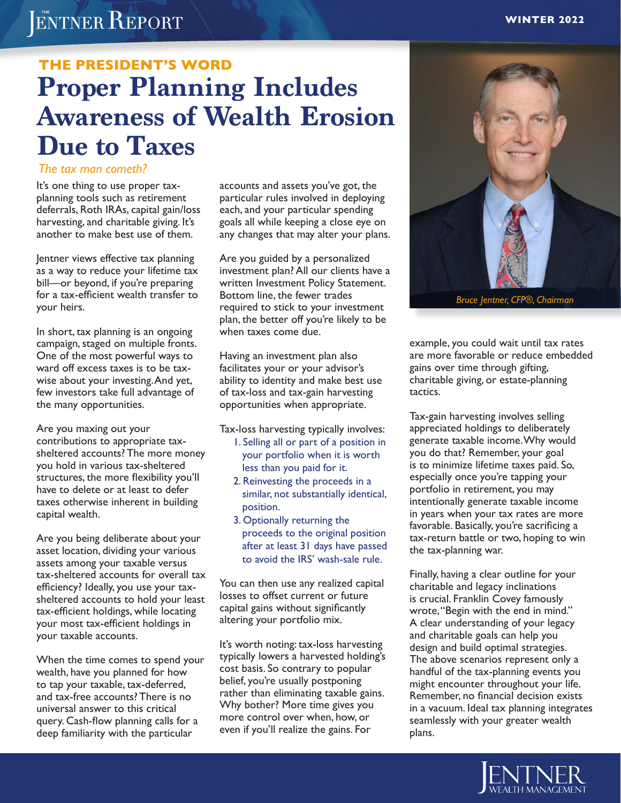# ENTNER REPORT

# **Proper Planning Includes Awareness of Wealth Erosion Due to Taxes THE PRESIDENT'S WORD**

#### *The tax man cometh?*

It's one thing to use proper taxplanning tools such as retirement deferrals, Roth IRAs, capital gain/loss harvesting, and charitable giving. It's another to make best use of them.

Jentner views effective tax planning as a way to reduce your lifetime tax bill—or beyond, if you're preparing for a tax-efficient wealth transfer to your heirs.

In short, tax planning is an ongoing campaign, staged on multiple fronts. One of the most powerful ways to ward off excess taxes is to be taxwise about your investing. And yet, few investors take full advantage of the many opportunities.

Are you maxing out your contributions to appropriate taxsheltered accounts? The more money you hold in various tax-sheltered structures, the more flexibility you'll have to delete or at least to defer taxes otherwise inherent in building capital wealth.

Are you being deliberate about your asset location, dividing your various assets among your taxable versus tax-sheltered accounts for overall tax efficiency? Ideally, you use your taxsheltered accounts to hold your least tax-efficient holdings, while locating your most tax-efficient holdings in your taxable accounts.

When the time comes to spend your wealth, have you planned for how to tap your taxable, tax-deferred, and tax-free accounts? There is no universal answer to this critical query. Cash-flow planning calls for a deep familiarity with the particular

accounts and assets you've got, the particular rules involved in deploying each, and your particular spending goals all while keeping a close eye on any changes that may alter your plans.

Are you guided by a personalized investment plan? All our clients have a written Investment Policy Statement. Bottom line, the fewer trades required to stick to your investment plan, the better off you're likely to be when taxes come due.

Having an investment plan also facilitates your or your advisor's ability to identity and make best use of tax-loss and tax-gain harvesting opportunities when appropriate.

Tax-loss harvesting typically involves:

- 1. Selling all or part of a position in your portfolio when it is worth less than you paid for it.
- 2. Reinvesting the proceeds in a similar, not substantially identical, position.
- 3. Optionally returning the proceeds to the original position after at least 31 days have passed to avoid the IRS' wash-sale rule.

You can then use any realized capital losses to offset current or future capital gains without significantly altering your portfolio mix.

It's worth noting: tax-loss harvesting typically lowers a harvested holding's cost basis. So contrary to popular belief, you're usually postponing rather than eliminating taxable gains. Why bother? More time gives you more control over when, how, or even if you'll realize the gains. For



*Bruce Jentner, CFP®, Chairman*

example, you could wait until tax rates are more favorable or reduce embedded gains over time through gifting, charitable giving, or estate-planning tactics.

Tax-gain harvesting involves selling appreciated holdings to deliberately generate taxable income. Why would you do that? Remember, your goal is to minimize lifetime taxes paid. So, especially once you're tapping your portfolio in retirement, you may intentionally generate taxable income in years when your tax rates are more favorable. Basically, you're sacrificing a tax-return battle or two, hoping to win the tax-planning war.

Finally, having a clear outline for your charitable and legacy inclinations is crucial. Franklin Covey famously wrote, "Begin with the end in mind." A clear understanding of your legacy and charitable goals can help you design and build optimal strategies. The above scenarios represent only a handful of the tax-planning events you might encounter throughout your life. Remember, no financial decision exists in a vacuum. Ideal tax planning integrates seamlessly with your greater wealth plans.

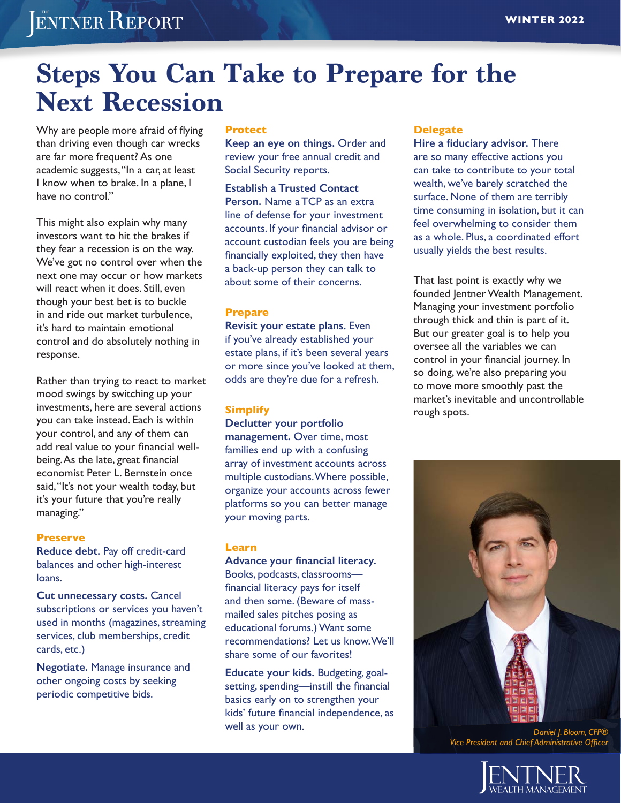# ENTNER REPORT

# **Steps You Can Take to Prepare for the Next Recession**

Why are people more afraid of flying than driving even though car wrecks are far more frequent? As one academic suggests, "In a car, at least I know when to brake. In a plane, I have no control."

This might also explain why many investors want to hit the brakes if they fear a recession is on the way. We've got no control over when the next one may occur or how markets will react when it does. Still, even though your best bet is to buckle in and ride out market turbulence, it's hard to maintain emotional control and do absolutely nothing in response.

Rather than trying to react to market mood swings by switching up your investments, here are several actions you can take instead. Each is within your control, and any of them can add real value to your financial wellbeing. As the late, great financial economist Peter L. Bernstein once said, "It's not your wealth today, but it's your future that you're really managing."

#### **Preserve**

**Reduce debt.** Pay off credit-card balances and other high-interest loans.

**Cut unnecessary costs.** Cancel subscriptions or services you haven't used in months (magazines, streaming services, club memberships, credit cards, etc.)

**Negotiate.** Manage insurance and other ongoing costs by seeking periodic competitive bids.

#### **Protect**

**Keep an eye on things.** Order and review your free annual credit and Social Security reports.

**Establish a Trusted Contact Person.** Name a TCP as an extra line of defense for your investment accounts. If your financial advisor or account custodian feels you are being financially exploited, they then have a back-up person they can talk to about some of their concerns.

#### **Prepare**

**Revisit your estate plans.** Even if you've already established your estate plans, if it's been several years or more since you've looked at them, odds are they're due for a refresh.

#### **Simplify**

**Declutter your portfolio management.** Over time, most families end up with a confusing array of investment accounts across multiple custodians. Where possible, organize your accounts across fewer platforms so you can better manage your moving parts.

#### **Learn**

**Advance your financial literacy.**  Books, podcasts, classrooms financial literacy pays for itself and then some. (Beware of massmailed sales pitches posing as educational forums.) Want some recommendations? Let us know. We'll share some of our favorites!

**Educate your kids.** Budgeting, goalsetting, spending—instill the financial basics early on to strengthen your kids' future financial independence, as well as your own.

#### **Delegate**

**Hire a fiduciary advisor.** There are so many effective actions you can take to contribute to your total wealth, we've barely scratched the surface. None of them are terribly time consuming in isolation, but it can feel overwhelming to consider them as a whole. Plus, a coordinated effort usually yields the best results.

That last point is exactly why we founded Jentner Wealth Management. Managing your investment portfolio through thick and thin is part of it. But our greater goal is to help you oversee all the variables we can control in your financial journey. In so doing, we're also preparing you to move more smoothly past the market's inevitable and uncontrollable rough spots.



*Daniel J. Bloom, CFP® Vice President and Chief Administrative Officer*